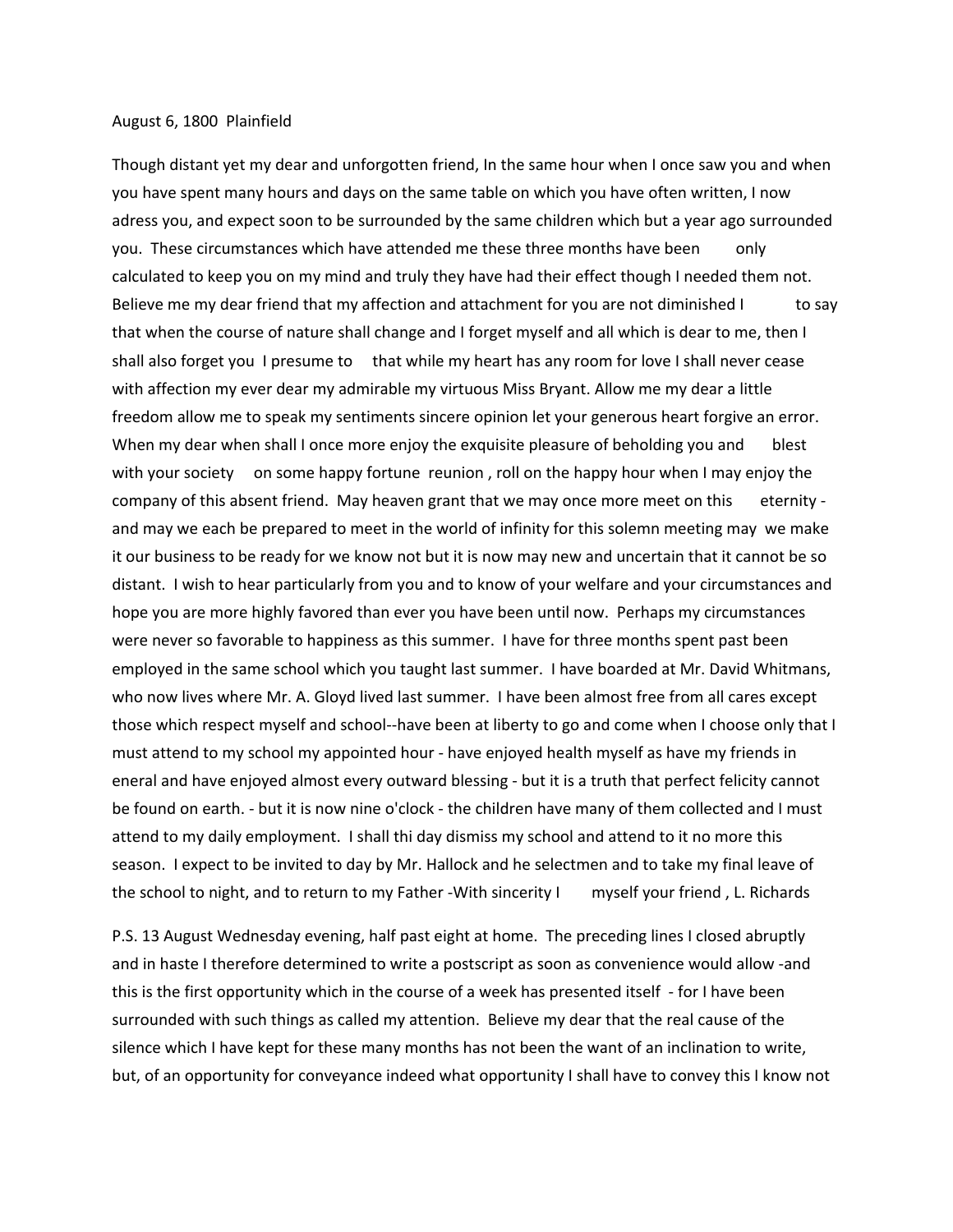## August 6, 1800 Plainfield

Though distant yet my dear and unforgotten friend, In the same hour when I once saw you and when you have spent many hours and days on the same table on which you have often written, I now adress you, and expect soon to be surrounded by the same children which but a year ago surrounded you. These circumstances which have attended me these three months have been only calculated to keep you on my mind and truly they have had their effect though I needed them not. Believe me my dear friend that my affection and attachment for you are not diminished I to say that when the course of nature shall change and I forget myself and all which is dear to me, then I shall also forget you I presume to that while my heart has any room for love I shall never cease with affection my ever dear my admirable my virtuous Miss Bryant. Allow me my dear a little freedom allow me to speak my sentiments sincere opinion let your generous heart forgive an error. When my dear when shall I once more enjoy the exquisite pleasure of beholding you and blest with your society on some happy fortune reunion, roll on the happy hour when I may enjoy the company of this absent friend. May heaven grant that we may once more meet on this eternity and may we each be prepared to meet in the world of infinity for this solemn meeting may we make it our business to be ready for we know not but it is now may new and uncertain that it cannot be so distant. I wish to hear particularly from you and to know of your welfare and your circumstances and hope you are more highly favored than ever you have been until now. Perhaps my circumstances were never so favorable to happiness as this summer. I have for three months spent past been employed in the same school which you taught last summer. I have boarded at Mr. David Whitmans, who now lives where Mr. A. Gloyd lived last summer. I have been almost free from all cares except those which respect myself and school--have been at liberty to go and come when I choose only that I must attend to my school my appointed hour - have enjoyed health myself as have my friends in eneral and have enjoyed almost every outward blessing - but it is a truth that perfect felicity cannot be found on earth. - but it is now nine o'clock - the children have many of them collected and I must attend to my daily employment. I shall thi day dismiss my school and attend to it no more this season. I expect to be invited to day by Mr. Hallock and he selectmen and to take my final leave of the school to night, and to return to my Father -With sincerity I myself your friend , L. Richards

P.S. 13 August Wednesday evening, half past eight at home. The preceding lines I closed abruptly and in haste I therefore determined to write a postscript as soon as convenience would allow -and this is the first opportunity which in the course of a week has presented itself - for I have been surrounded with such things as called my attention. Believe my dear that the real cause of the silence which I have kept for these many months has not been the want of an inclination to write, but, of an opportunity for conveyance indeed what opportunity I shall have to convey this I know not